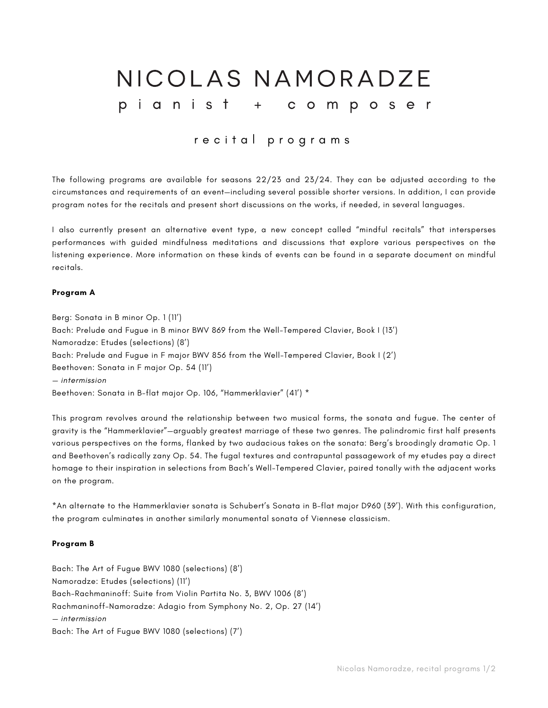# NICOLAS NAMORADZE pianist + composer

# recital programs

The following programs are available for seasons 22/23 and 23/24. They can be adjusted according to the circumstances and requirements of an event—including several possible shorter versions. In addition, I can provide program notes for the recitals and present short discussions on the works, if needed, in several languages.

I also currently present an alternative event type, a new concept called "mindful recitals" that intersperses performances with guided mindfulness meditations and discussions that explore various perspectives on the listening experience. More information on these kinds of events can be found in a separate document on mindful recitals.

#### **Program A**

Berg: Sonata in B minor Op. 1 (11') Bach: Prelude and Fugue in B minor BWV 869 from the Well-Tempered Clavier, Book I (13') Namoradze: Etudes (selections) (8') Bach: Prelude and Fugue in F major BWV 856 from the Well-Tempered Clavier, Book I (2') Beethoven: Sonata in F major Op. 54 (11') *— intermission* Beethoven: Sonata in B-flat major Op. 106, "Hammerklavier" (41') \*

This program revolves around the relationship between two musical forms, the sonata and fugue. The center of gravity is the "Hammerklavier"—arguably greatest marriage of these two genres. The palindromic first half presents various perspectives on the forms, flanked by two audacious takes on the sonata: Berg's broodingly dramatic Op. 1 and Beethoven's radically zany Op. 54. The fugal textures and contrapuntal passagework of my etudes pay a direct homage to their inspiration in selections from Bach's Well-Tempered Clavier, paired tonally with the adjacent works on the program.

\*An alternate to the Hammerklavier sonata is Schubert's Sonata in B-flat major D960 (39'). With this configuration, the program culminates in another similarly monumental sonata of Viennese classicism.

## **Program B**

Bach: The Art of Fugue BWV 1080 (selections) (8') Namoradze: Etudes (selections) (11') Bach-Rachmaninoff: Suite from Violin Partita No. 3, BWV 1006 (8') Rachmaninoff-Namoradze: Adagio from Symphony No. 2, Op. 27 (14') *— intermission* Bach: The Art of Fugue BWV 1080 (selections) (7')